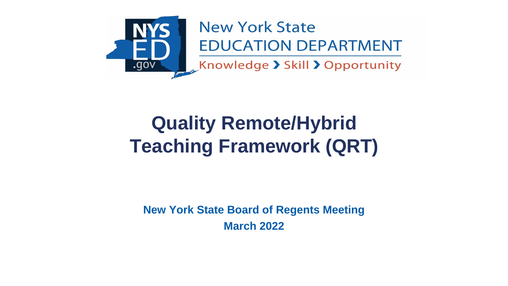

## **Quality Remote/Hybrid Teaching Framework (QRT)**

**New York State Board of Regents Meeting March 2022**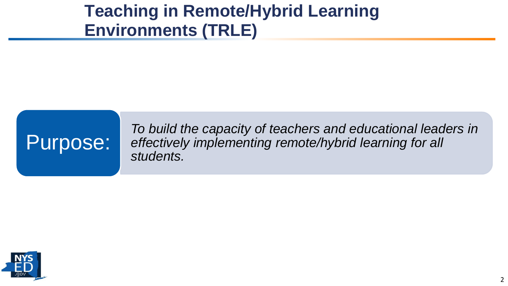#### **Teaching in Remote/Hybrid Learning Environments (TRLE)**

# Purpose:

*To build the capacity of teachers and educational leaders in effectively implementing remote/hybrid learning for all students.*

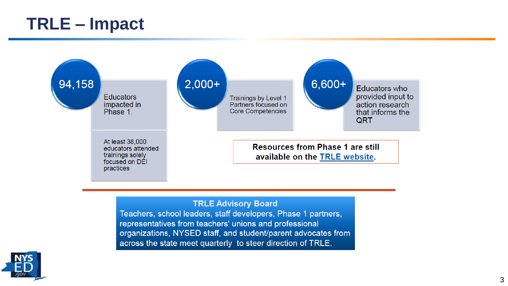#### **TRLE – Impact**



#### **TRLE Advisory Board**

Teachers, school leaders, staff developers, Phase 1 partners, representatives from teachers' unions and professional organizations, NYSED staff, and student/parent advocates from across the state meet quarterly to steer direction of TRLE.

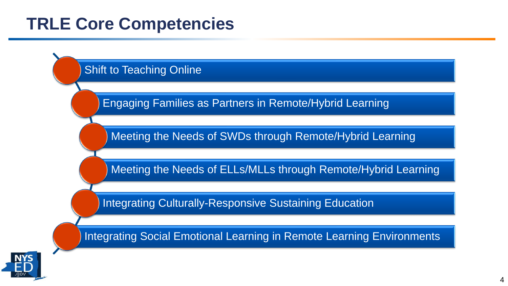#### **TRLE Core Competencies**



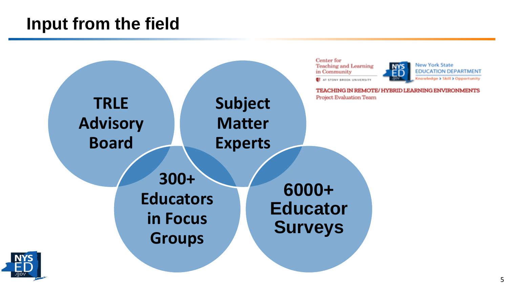#### **Input from the field**



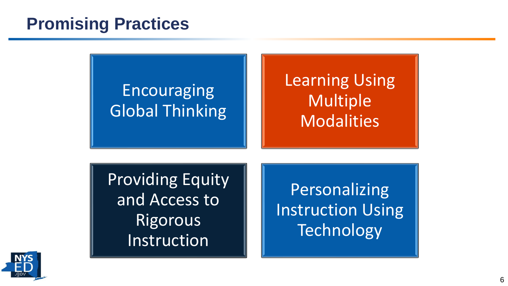#### **Promising Practices**

### **Encouraging** Global Thinking

## Learning Using Multiple **Modalities**

Providing Equity and Access to **Rigorous** Instruction

**Personalizing** Instruction Using **Technology** 

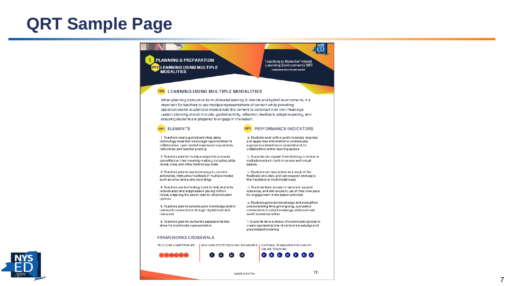#### **QRT Sample Page**

#### **PYS PLANNING & PREPARATION** Teaching in Remote/ Hybrid Learning Environments ORT PP2 LEARNING USING MULTIPLE A FRAMINOR FOR STATE-WISE SUPPORT **MODALITIES PP2 LEARNING USING MULTIPLE MODALITIES** When planning instruction for multimodal learning in remote and hybrid environments, it is important for teachers to use multiple representations of content while providing opportunities for students to interact with the content to construct their own meanings. Lesson planning should include: guided activity, reflection, feedback, adaptive pacing, and ensuring students are prepared to engage in the lesson. **PP1 ELEMENTS PP1** PERFORMANCE INDICATORS

1. Teachers create guided activities using technology tools that encourage opportunities for collaborative, open-ended responses to questions. reflections, and teacher probing

2. Teachers plan for multiple ways that students can reflect on their meaning-making, including slide decks, docs, and other technology tools

3. Teachers plan to use technology to provide actionable, instructive feedback in multiple modes such as video and audio recordings

4. Teachers use technology tools to help students individualize and adapt lesson pacing to their needs, adapting the lesson plan to reflect student options

5. Teachers plan to activate prior knowledge and/or real-world connections through digital tools and resources

6. Teachers plan for authentic assessments that allow for multimodal representation

#### **FRAMEWORKS CROSSWALK**

TRLE CORE COMPETENCIES | NEW YORK STATE TEACHING STANDARDS | NATIONAL STANDARDS FOR QUALITY ONLINE TEACHING

 $\Box$ 



nysed.com/trie

 $\overline{I}$ 

a. Students work with a guide to select, organize

b. Students can explain their thinking to others in

and apply new information to contextually

multiple modes in both in-person and virtual

c. Students can take action as a result of the

feedback provided, and can respond and apply

d. Students have access to materials, support

resources, and references to use at their own pace

e. Students generate knowledge and strengthen understanding through ongoing, cumulative

f. Students have a choice of multimodal options to

create representations of content knowledge and

ABCD

connections to prior knowledge, skills and real-

appropriate situations in personal and /or

collaborative online learning spaces

that feedback in multimodal ways

world scenarios online

personalized meaning

for engagement in the lesson activities

spaces

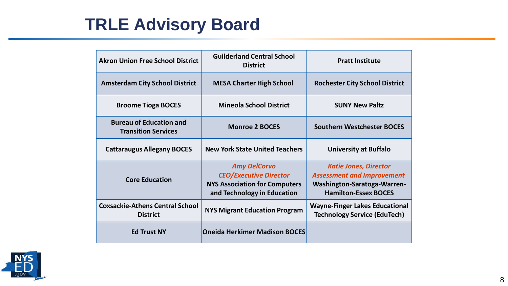### **TRLE Advisory Board**

| <b>Akron Union Free School District</b>                      | <b>Guilderland Central School</b><br><b>District</b>                                                                        | <b>Pratt Institute</b>                                                                                                                 |
|--------------------------------------------------------------|-----------------------------------------------------------------------------------------------------------------------------|----------------------------------------------------------------------------------------------------------------------------------------|
| <b>Amsterdam City School District</b>                        | <b>MESA Charter High School</b>                                                                                             | <b>Rochester City School District</b>                                                                                                  |
| <b>Broome Tioga BOCES</b>                                    | <b>Mineola School District</b>                                                                                              | <b>SUNY New Paltz</b>                                                                                                                  |
| <b>Bureau of Education and</b><br><b>Transition Services</b> | <b>Monroe 2 BOCES</b>                                                                                                       | <b>Southern Westchester BOCES</b>                                                                                                      |
| <b>Cattaraugus Allegany BOCES</b>                            | <b>New York State United Teachers</b>                                                                                       | <b>University at Buffalo</b>                                                                                                           |
| <b>Core Education</b>                                        | <b>Amy DelCorvo</b><br><b>CEO/Executive Director</b><br><b>NYS Association for Computers</b><br>and Technology in Education | <b>Katie Jones, Director</b><br><b>Assessment and Improvement</b><br><b>Washington-Saratoga-Warren-</b><br><b>Hamilton-Essex BOCES</b> |
| <b>Coxsackie-Athens Central School</b><br><b>District</b>    | <b>NYS Migrant Education Program</b>                                                                                        | <b>Wayne-Finger Lakes Educational</b><br><b>Technology Service (EduTech)</b>                                                           |
| <b>Ed Trust NY</b>                                           | <b>Oneida Herkimer Madison BOCES</b>                                                                                        |                                                                                                                                        |

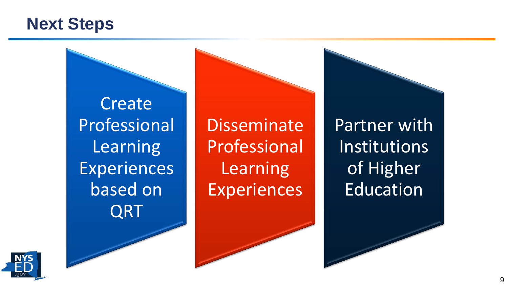#### **Next Steps**

**Create** Professional **Learning Experiences** based on QRT

Disseminate Professional **Learning Experiences** 

Partner with **Institutions** of Higher Education